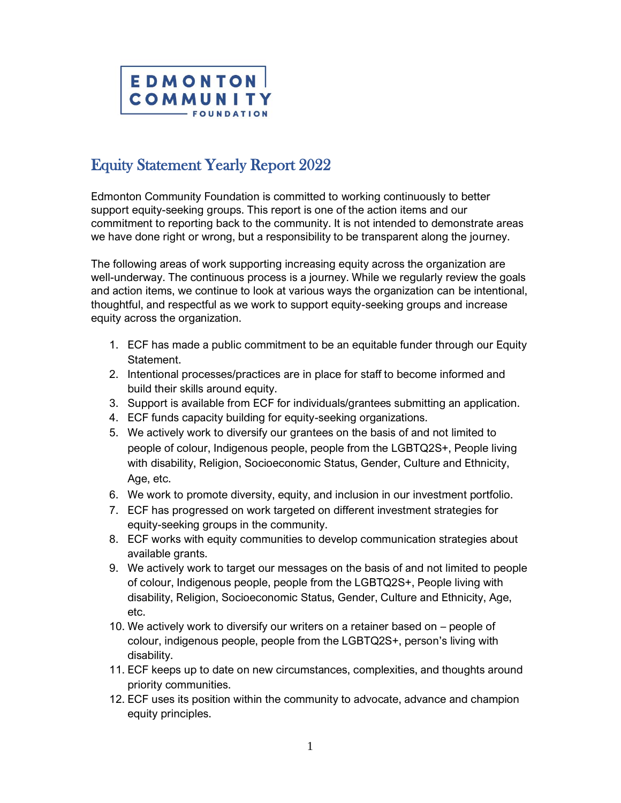

## Equity Statement Yearly Report 2022

Edmonton Community Foundation is committed to working continuously to better support equity-seeking groups. This report is one of the action items and our commitment to reporting back to the community. It is not intended to demonstrate areas we have done right or wrong, but a responsibility to be transparent along the journey.

The following areas of work supporting increasing equity across the organization are well-underway. The continuous process is a journey. While we regularly review the goals and action items, we continue to look at various ways the organization can be intentional, thoughtful, and respectful as we work to support equity-seeking groups and increase equity across the organization.

- 1. ECF has made a public commitment to be an equitable funder through our Equity Statement.
- 2. Intentional processes/practices are in place for staff to become informed and build their skills around equity.
- 3. Support is available from ECF for individuals/grantees submitting an application.
- 4. ECF funds capacity building for equity-seeking organizations.
- 5. We actively work to diversify our grantees on the basis of and not limited to people of colour, Indigenous people, people from the LGBTQ2S+, People living with disability, Religion, Socioeconomic Status, Gender, Culture and Ethnicity, Age, etc.
- 6. We work to promote diversity, equity, and inclusion in our investment portfolio.
- 7. ECF has progressed on work targeted on different investment strategies for equity-seeking groups in the community.
- 8. ECF works with equity communities to develop communication strategies about available grants.
- 9. We actively work to target our messages on the basis of and not limited to people of colour, Indigenous people, people from the LGBTQ2S+, People living with disability, Religion, Socioeconomic Status, Gender, Culture and Ethnicity, Age, etc.
- 10. We actively work to diversify our writers on a retainer based on people of colour, indigenous people, people from the LGBTQ2S+, person's living with disability.
- 11. ECF keeps up to date on new circumstances, complexities, and thoughts around priority communities.
- 12. ECF uses its position within the community to advocate, advance and champion equity principles.